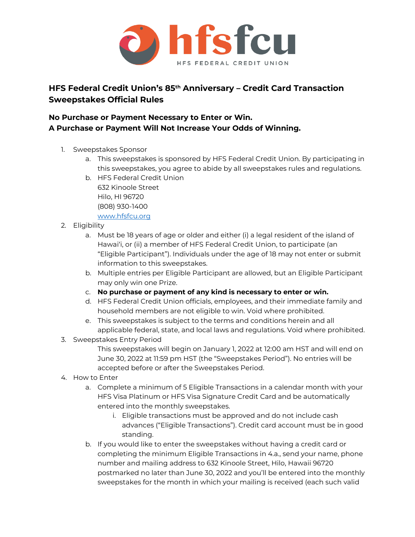

## **HFS Federal Credit Union's 85th Anniversary – Credit Card Transaction Sweepstakes Official Rules**

## **No Purchase or Payment Necessary to Enter or Win. A Purchase or Payment Will Not Increase Your Odds of Winning.**

- 1. Sweepstakes Sponsor
	- a. This sweepstakes is sponsored by HFS Federal Credit Union. By participating in this sweepstakes, you agree to abide by all sweepstakes rules and regulations.
	- b. HFS Federal Credit Union 632 Kinoole Street Hilo, HI 96720 (808) 930-1400 [www.hfsfcu.org](http://www.hfsfcu.org/)
- 2. Eligibility
	- a. Must be 18 years of age or older and either (i) a legal resident of the island of Hawai'i, or (ii) a member of HFS Federal Credit Union, to participate (an "Eligible Participant"). Individuals under the age of 18 may not enter or submit information to this sweepstakes.
	- b. Multiple entries per Eligible Participant are allowed, but an Eligible Participant may only win one Prize.
	- c. **No purchase or payment of any kind is necessary to enter or win.**
	- d. HFS Federal Credit Union officials, employees, and their immediate family and household members are not eligible to win. Void where prohibited.
	- e. This sweepstakes is subject to the terms and conditions herein and all applicable federal, state, and local laws and regulations. Void where prohibited.
- 3. Sweepstakes Entry Period

This sweepstakes will begin on January 1, 2022 at 12:00 am HST and will end on June 30, 2022 at 11:59 pm HST (the "Sweepstakes Period"). No entries will be accepted before or after the Sweepstakes Period.

- 4. How to Enter
	- a. Complete a minimum of 5 Eligible Transactions in a calendar month with your HFS Visa Platinum or HFS Visa Signature Credit Card and be automatically entered into the monthly sweepstakes.
		- i. Eligible transactions must be approved and do not include cash advances ("Eligible Transactions"). Credit card account must be in good standing.
	- b. If you would like to enter the sweepstakes without having a credit card or completing the minimum Eligible Transactions in 4.a., send your name, phone number and mailing address to 632 Kinoole Street, Hilo, Hawaii 96720 postmarked no later than June 30, 2022 and you'll be entered into the monthly sweepstakes for the month in which your mailing is received (each such valid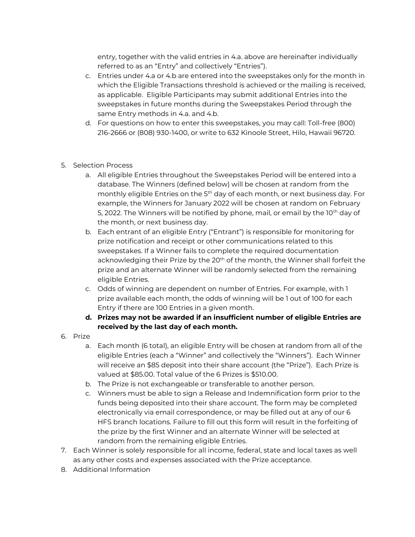entry, together with the valid entries in 4.a. above are hereinafter individually referred to as an "Entry" and collectively "Entries").

- c. Entries under 4.a or 4.b are entered into the sweepstakes only for the month in which the Eligible Transactions threshold is achieved or the mailing is received, as applicable. Eligible Participants may submit additional Entries into the sweepstakes in future months during the Sweepstakes Period through the same Entry methods in 4.a. and 4.b.
- d. For questions on how to enter this sweepstakes, you may call: Toll-free (800) 216-2666 or (808) 930-1400, or write to 632 Kinoole Street, Hilo, Hawaii 96720.
- 5. Selection Process
	- a. All eligible Entries throughout the Sweepstakes Period will be entered into a database. The Winners (defined below) will be chosen at random from the monthly eligible Entries on the 5<sup>th</sup> day of each month, or next business day. For example, the Winners for January 2022 will be chosen at random on February 5, 2022. The Winners will be notified by phone, mail, or email by the 10<sup>th</sup> day of the month, or next business day.
	- b. Each entrant of an eligible Entry ("Entrant") is responsible for monitoring for prize notification and receipt or other communications related to this sweepstakes. If a Winner fails to complete the required documentation acknowledging their Prize by the 20<sup>th</sup> of the month, the Winner shall forfeit the prize and an alternate Winner will be randomly selected from the remaining eligible Entries.
	- c. Odds of winning are dependent on number of Entries. For example, with 1 prize available each month, the odds of winning will be 1 out of 100 for each Entry if there are 100 Entries in a given month.
	- **d. Prizes may not be awarded if an insufficient number of eligible Entries are received by the last day of each month.**
- 6. Prize
	- a. Each month (6 total), an eligible Entry will be chosen at random from all of the eligible Entries (each a "Winner" and collectively the "Winners"). Each Winner will receive an \$85 deposit into their share account (the "Prize"). Each Prize is valued at \$85.00. Total value of the 6 Prizes is \$510.00.
	- b. The Prize is not exchangeable or transferable to another person.
	- c. Winners must be able to sign a Release and Indemnification form prior to the funds being deposited into their share account. The form may be completed electronically via email correspondence, or may be filled out at any of our 6 HFS branch locations. Failure to fill out this form will result in the forfeiting of the prize by the first Winner and an alternate Winner will be selected at random from the remaining eligible Entries.
- 7. Each Winner is solely responsible for all income, federal, state and local taxes as well as any other costs and expenses associated with the Prize acceptance.
- 8. Additional Information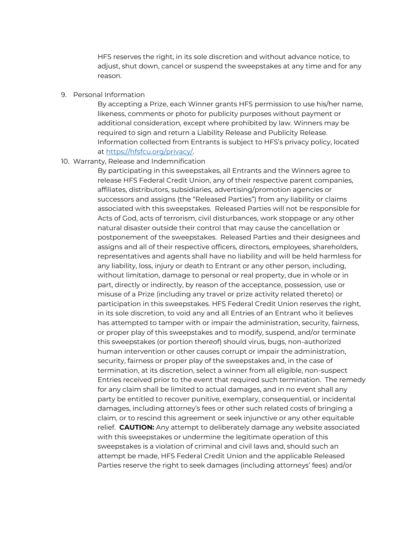HFS reserves the right, in its sole discretion and without advance notice, to adjust, shut down, cancel or suspend the sweepstakes at any time and for any reason.

## 9. Personal Information

By accepting a Prize, each Winner grants HFS permission to use his/her name, likeness, comments or photo for publicity purposes without payment or additional consideration, except where prohibited by law. Winners may be required to sign and return a Liability Release and Publicity Release. Information collected from Entrants is subject to HFS's privacy policy, located at [https://hfsfcu.org/privacy/.](https://hfsfcu.org/privacy/) 

## 10. Warranty, Release and Indemnification

By participating in this sweepstakes, all Entrants and the Winners agree to release HFS Federal Credit Union, any of their respective parent companies, affiliates, distributors, subsidiaries, advertising/promotion agencies or successors and assigns (the "Released Parties") from any liability or claims associated with this sweepstakes. Released Parties will not be responsible for Acts of God, acts of terrorism, civil disturbances, work stoppage or any other natural disaster outside their control that may cause the cancellation or postponement of the sweepstakes. Released Parties and their designees and assigns and all of their respective officers, directors, employees, shareholders, representatives and agents shall have no liability and will be held harmless for any liability, loss, injury or death to Entrant or any other person, including, without limitation, damage to personal or real property, due in whole or in part, directly or indirectly, by reason of the acceptance, possession, use or misuse of a Prize (including any travel or prize activity related thereto) or participation in this sweepstakes. HFS Federal Credit Union reserves the right, in its sole discretion, to void any and all Entries of an Entrant who it believes has attempted to tamper with or impair the administration, security, fairness, or proper play of this sweepstakes and to modify, suspend, and/or terminate this sweepstakes (or portion thereof) should virus, bugs, non-authorized human intervention or other causes corrupt or impair the administration, security, fairness or proper play of the sweepstakes and, in the case of termination, at its discretion, select a winner from all eligible, non-suspect Entries received prior to the event that required such termination. The remedy for any claim shall be limited to actual damages, and in no event shall any party be entitled to recover punitive, exemplary, consequential, or incidental damages, including attorney's fees or other such related costs of bringing a claim, or to rescind this agreement or seek injunctive or any other equitable relief. **CAUTION:** Any attempt to deliberately damage any website associated with this sweepstakes or undermine the legitimate operation of this sweepstakes is a violation of criminal and civil laws and, should such an attempt be made, HFS Federal Credit Union and the applicable Released Parties reserve the right to seek damages (including attorneys' fees) and/or